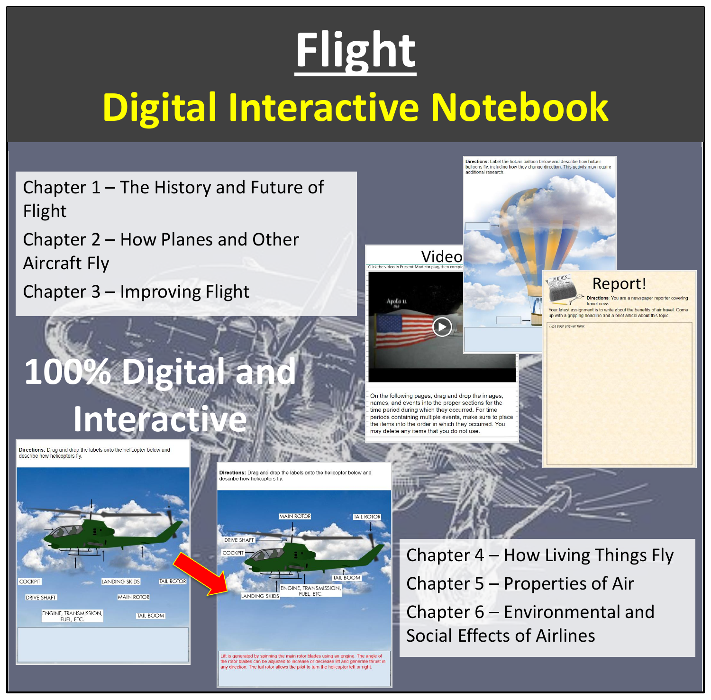## **Flight Digital Interactive Notebook**

Chapter 1 – The History and Future of Flight

Chapter 2 – How Planes and Other Aircraft Fly

Chapter 3 – Improving Flight

#### **100% Digital and Interactive**

Directions: Drag and drop the labels onto the helicopter below and describe how helicopters fly.



Directions: Drag and drop the labels onto the helicopter below and<br>describe how helicopters fly.



Lift is generated by spinning the main rotor blades using an engine. The angle of the rotor blades can be adjusted to increase or decrease lift and generate thrust in any direction. The tail rotor allows the pilot to turn the helicopter left or right.



Chapter 4 – How Living Things Fly Chapter 5 – Properties of Air Chapter 6 – Environmental and Social Effects of Airlines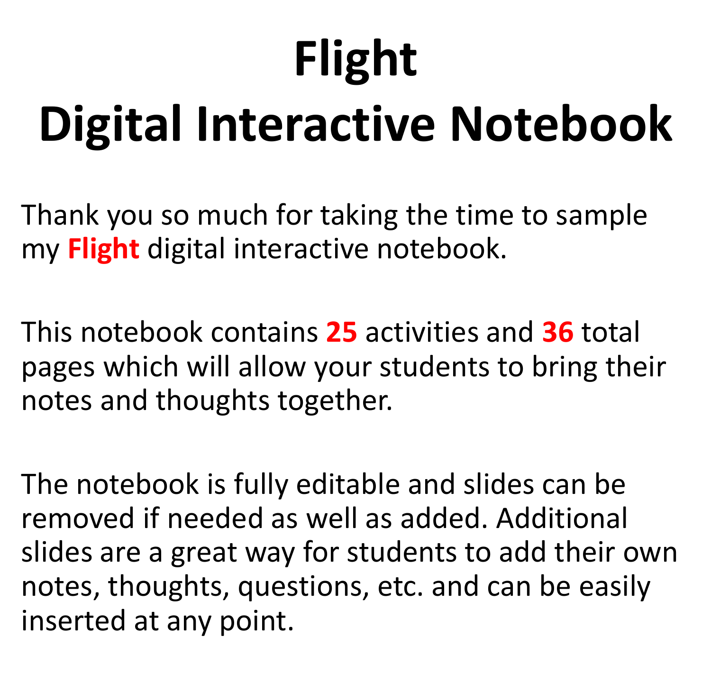# **Flight Digital Interactive Notebook**

Thank you so much for taking the time to sample my **Flight** digital interactive notebook.

This notebook contains **25** activities and **36** total pages which will allow your students to bring their notes and thoughts together.

The notebook is fully editable and slides can be removed if needed as well as added. Additional slides are a great way for students to add their own notes, thoughts, questions, etc. and can be easily inserted at any point.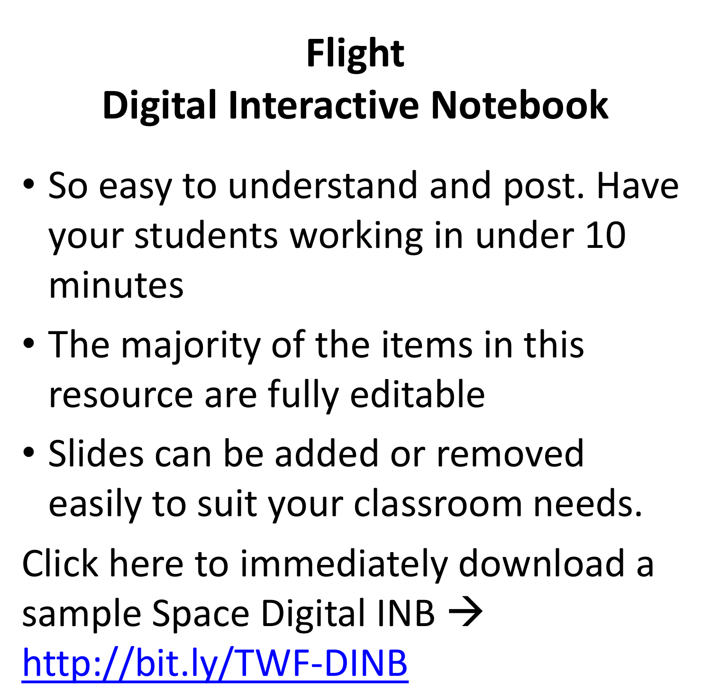### **Flight Digital Interactive Notebook**

- So easy to understand and post. Have your students working in under 10 minutes
- The majority of the items in this resource are fully editable
- Slides can be added or removed easily to suit your classroom needs.

Click here to immediately download a sample Space Digital INB  $\rightarrow$ <http://bit.ly/TWF-DINB>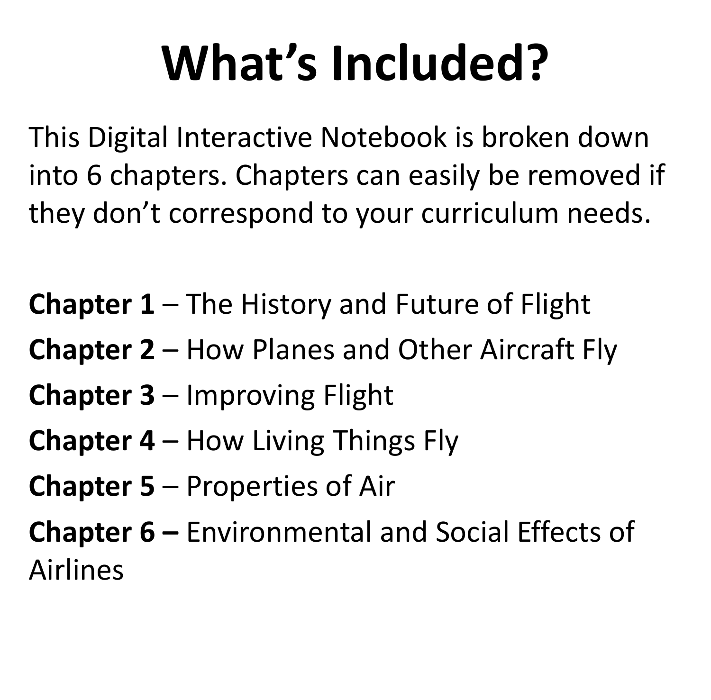## **What's Included?**

This Digital Interactive Notebook is broken down into 6 chapters. Chapters can easily be removed if they don't correspond to your curriculum needs.

**Chapter 1** – The History and Future of Flight

- **Chapter 2** How Planes and Other Aircraft Fly
- **Chapter 3** Improving Flight
- **Chapter 4** How Living Things Fly
- **Chapter 5** Properties of Air

**Chapter 6 –** Environmental and Social Effects of Airlines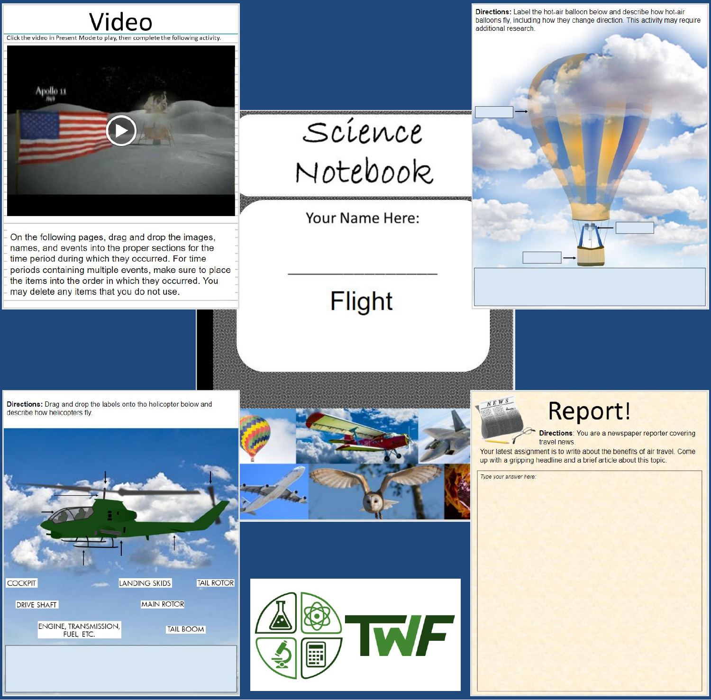

On the following pages, drag and drop the images, names, and events into the proper sections for the time period during which they occurred. For time periods containing multiple events, make sure to place the items into the order in which they occurred. You may delete any items that you do not use.

Directions: Label the hot-air balloon below and describe how hot-air balloons fly, including how they change direction. This activity may require additional research.

Science Notebook

Your Name Here:

#### **Flight**

Directions: Drag and drop the labels onto the helicopter below and describe how helicopters fly.







Report!

Directions: You are a newspaper reporter covering travel news

Your latest assignment is to write about the benefits of air travel. Come up with a gripping headline and a brief article about this topic.

Type your answer here:

NEWS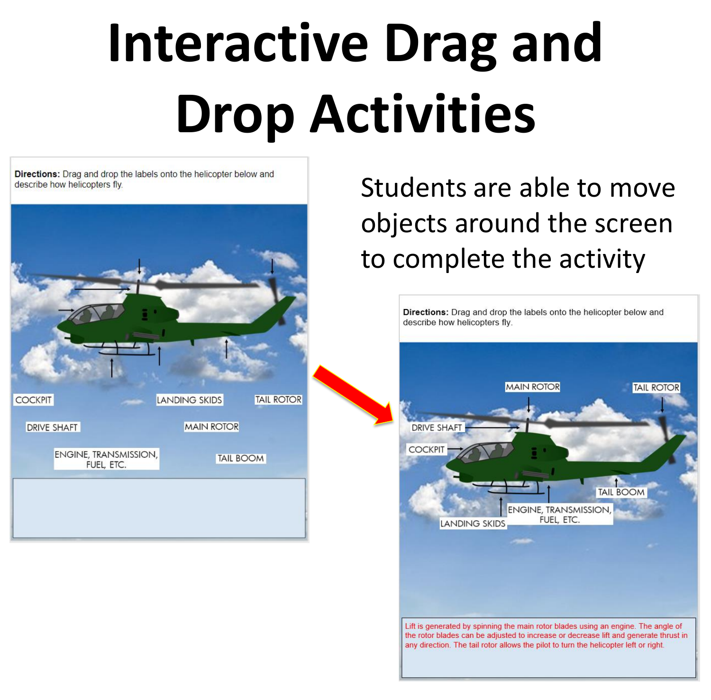# **Interactive Drag and Drop Activities**

**Directions:** Drag and drop the labels onto the helicopter below and describe how helicopters fly.



Students are able to move objects around the screen to complete the activity

|                    |                      | <b>MAIN ROTOR</b> |                                            |                  | <b>TAIL ROTOR</b> |  |
|--------------------|----------------------|-------------------|--------------------------------------------|------------------|-------------------|--|
|                    |                      |                   |                                            |                  |                   |  |
| <b>DRIVE SHAFT</b> |                      |                   |                                            |                  |                   |  |
| <b>COCKPIT</b>     |                      |                   |                                            |                  |                   |  |
|                    |                      |                   |                                            |                  |                   |  |
|                    |                      |                   |                                            | <b>TAIL BOOM</b> |                   |  |
|                    | <b>LANDING SKIDS</b> |                   | <b>ENGINE, TRANSMISSION,</b><br>FUEL, ETC. |                  |                   |  |
|                    |                      |                   |                                            |                  |                   |  |
|                    |                      |                   |                                            |                  |                   |  |
|                    |                      |                   |                                            |                  |                   |  |
|                    |                      |                   |                                            |                  |                   |  |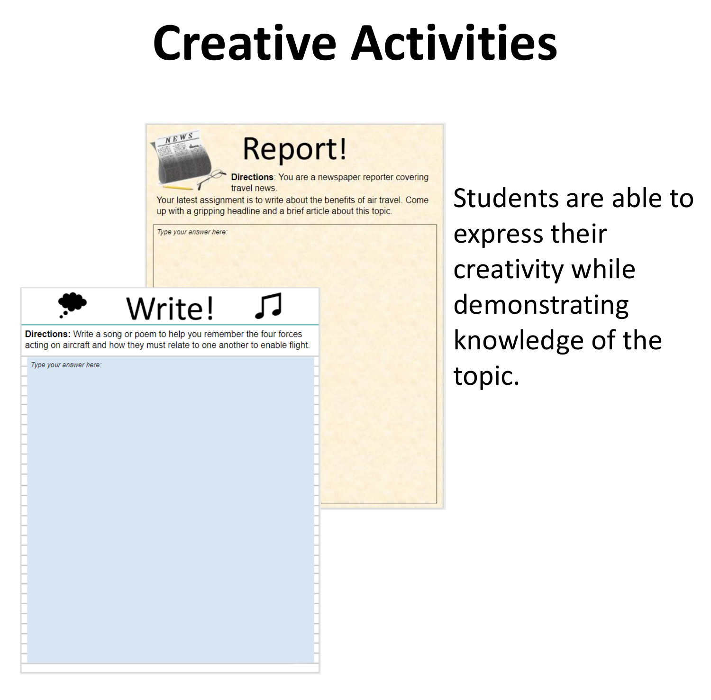### **Creative Activities**



Students are able to express their creativity while demonstrating knowledge of the topic.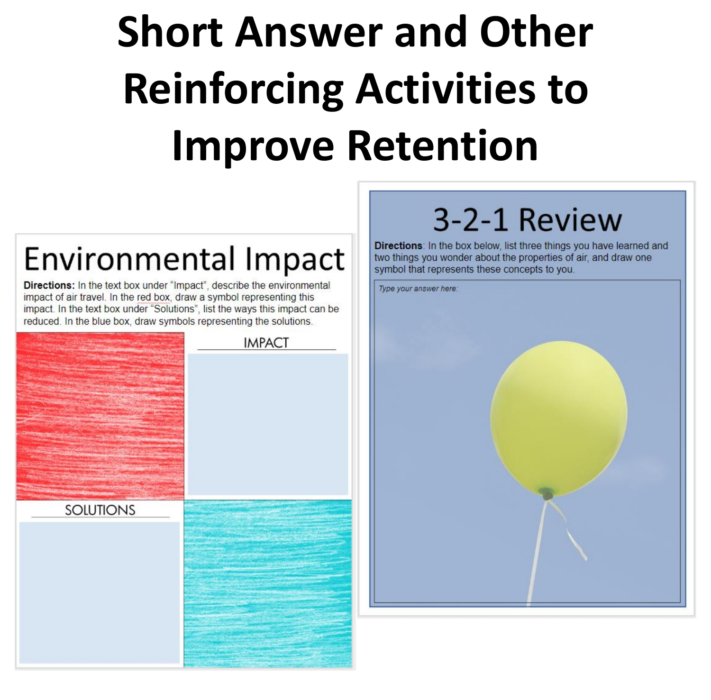## **Short Answer and Other Reinforcing Activities to Improve Retention**

#### Environmental Impact

**Directions:** In the text box under "Impact", describe the environmental impact of air travel. In the red box, draw a symbol representing this impact. In the text box under "Solutions", list the ways this impact can be reduced. In the blue box, draw symbols representing the solutions.

|           | <b>IMPACT</b> |
|-----------|---------------|
| SOLUTIONS |               |

#### 3-2-1 Review

Directions: In the box below, list three things you have learned and two things you wonder about the properties of air, and draw one symbol that represents these concepts to you.

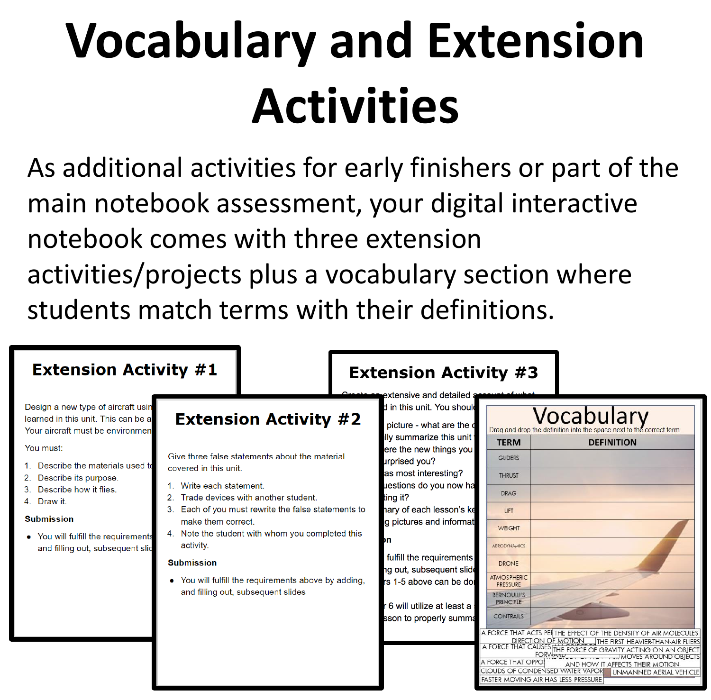## **Vocabulary and Extension Activities**

As additional activities for early finishers or part of the main notebook assessment, your digital interactive notebook comes with three extension activities/projects plus a vocabulary section where students match terms with their definitions.

| <b>Extension Activity #1</b>                                                                                                                                                                                                                                                                                                            |                                                                                                                                                                                                                                                                                                                                                                                                                                          | <b>Extension Activity #3</b><br>nte on extensive and detailed a                                                                                                                                                                                                                                                                                                                                       |                                                                                                                                                                                                                                                                                                                                                                                                                                                                                                                                                                                                                                                                                                                                                                                          |  |
|-----------------------------------------------------------------------------------------------------------------------------------------------------------------------------------------------------------------------------------------------------------------------------------------------------------------------------------------|------------------------------------------------------------------------------------------------------------------------------------------------------------------------------------------------------------------------------------------------------------------------------------------------------------------------------------------------------------------------------------------------------------------------------------------|-------------------------------------------------------------------------------------------------------------------------------------------------------------------------------------------------------------------------------------------------------------------------------------------------------------------------------------------------------------------------------------------------------|------------------------------------------------------------------------------------------------------------------------------------------------------------------------------------------------------------------------------------------------------------------------------------------------------------------------------------------------------------------------------------------------------------------------------------------------------------------------------------------------------------------------------------------------------------------------------------------------------------------------------------------------------------------------------------------------------------------------------------------------------------------------------------------|--|
| Design a new type of aircraft usin<br>learned in this unit. This can be a<br>Your aircraft must be environmen<br>You must:<br>1. Describe the materials used to<br>Describe its purpose.<br>2.<br>Describe how it flies.<br>4. Draw it.<br><b>Submission</b><br>• You will fulfill the requirements<br>and filling out, subsequent slic | <b>Extension Activity #2</b><br>Give three false statements about the material<br>covered in this unit.<br>Write each statement.<br>Trade devices with another student.<br>3. Each of you must rewrite the false statements to<br>make them correct.<br>4. Note the student with whom you completed this<br>activity.<br><b>Submission</b><br>• You will fulfill the requirements above by adding,<br>and filling out, subsequent slides | d in this unit. You should<br>picture - what are the d<br>lly summarize this unit  <br>ere the new things you<br>urprised you?<br>as most interesting?<br>uestions do you now ha<br>ting it?<br>nary of each lesson's ke<br>g pictures and informat<br>Dη<br>fulfill the requirements<br>ng out, subsequent slide<br>rs 1-5 above can be dol<br>· 6 will utilize at least a<br>sson to properly summa | Vocabulary<br>Drag and drop the definition into the space next to the correct term.<br><b>TERM</b><br><b>DEFINITION</b><br><b>GLIDERS</b><br><b>THRUST</b><br><b>DRAG</b><br><b>LIFT</b><br><b>WEIGHT</b><br><b>AERODYNAMICS</b><br><b>DRONE</b><br><b>ATMOSPHERIC</b><br><b>PRESSURE</b><br><b>BERNOULLI'S</b><br><b>PRINCIPLE</b><br><b>CONTRAILS</b><br>A FORCE THAT ACTS PEI THE EFFECT OF THE DENSITY OF AIR MOLECULES.<br><b>DIRECTION OF MOTION</b><br>THE FIRST HEAVIER-THAN-AIR FLIERS<br>A FORCE THAT CAUSES THE FORCE OF GRAVITY ACTING ON AN OBJECTS<br><b>FORWAKD</b><br>IMOVES AROUND OBJECTSI<br>A FORCE THAT OPPO!<br>AND HOW IT AFFECTS THEIR MOTION<br><b>CLOUDS OF CONDENSED WATER VAPOR</b><br><b>UNMANNED AERIAL VEHICLE</b><br>FASTER MOVING AIR HAS LESS PRESSURE |  |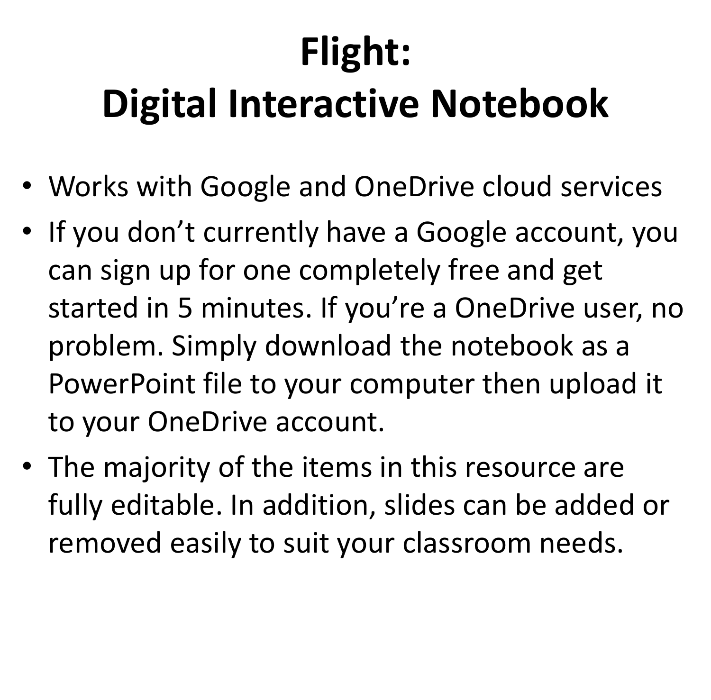### **Flight:**

#### **Digital Interactive Notebook**

- Works with Google and OneDrive cloud services
- If you don't currently have a Google account, you can sign up for one completely free and get started in 5 minutes. If you're a OneDrive user, no problem. Simply download the notebook as a PowerPoint file to your computer then upload it to your OneDrive account.
- The majority of the items in this resource are fully editable. In addition, slides can be added or removed easily to suit your classroom needs.